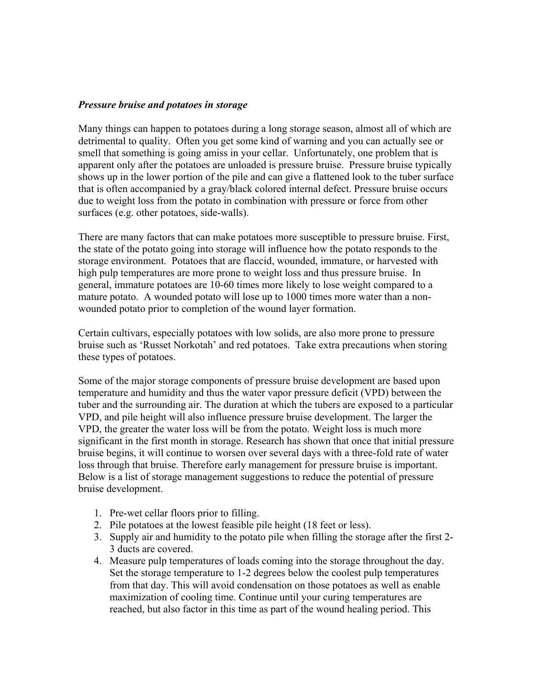## *Pressure bruise and potatoes in storage*

Many things can happen to potatoes during a long storage season, almost all of which are detrimental to quality. Often you get some kind of warning and you can actually see or smell that something is going amiss in your cellar. Unfortunately, one problem that is apparent only after the potatoes are unloaded is pressure bruise. Pressure bruise typically shows up in the lower portion of the pile and can give a flattened look to the tuber surface that is often accompanied by a gray/black colored internal defect. Pressure bruise occurs due to weight loss from the potato in combination with pressure or force from other surfaces (e.g. other potatoes, side-walls).

There are many factors that can make potatoes more susceptible to pressure bruise. First, the state of the potato going into storage will influence how the potato responds to the storage environment. Potatoes that are flaccid, wounded, immature, or harvested with high pulp temperatures are more prone to weight loss and thus pressure bruise. In general, immature potatoes are 10-60 times more likely to lose weight compared to a mature potato. A wounded potato will lose up to 1000 times more water than a nonwounded potato prior to completion of the wound layer formation.

Certain cultivars, especially potatoes with low solids, are also more prone to pressure bruise such as 'Russet Norkotah' and red potatoes. Take extra precautions when storing these types of potatoes.

Some of the major storage components of pressure bruise development are based upon temperature and humidity and thus the water vapor pressure deficit (VPD) between the tuber and the surrounding air. The duration at which the tubers are exposed to a particular VPD, and pile height will also influence pressure bruise development. The larger the VPD, the greater the water loss will be from the potato. Weight loss is much more significant in the first month in storage. Research has shown that once that initial pressure bruise begins, it will continue to worsen over several days with a three-fold rate of water loss through that bruise. Therefore early management for pressure bruise is important. Below is a list of storage management suggestions to reduce the potential of pressure bruise development.

- 1. Pre-wet cellar floors prior to filling.
- 2. Pile potatoes at the lowest feasible pile height (18 feet or less).
- 3. Supply air and humidity to the potato pile when filling the storage after the first 2- 3 ducts are covered.
- 4. Measure pulp temperatures of loads coming into the storage throughout the day. Set the storage temperature to 1-2 degrees below the coolest pulp temperatures from that day. This will avoid condensation on those potatoes as well as enable maximization of cooling time. Continue until your curing temperatures are reached, but also factor in this time as part of the wound healing period. This